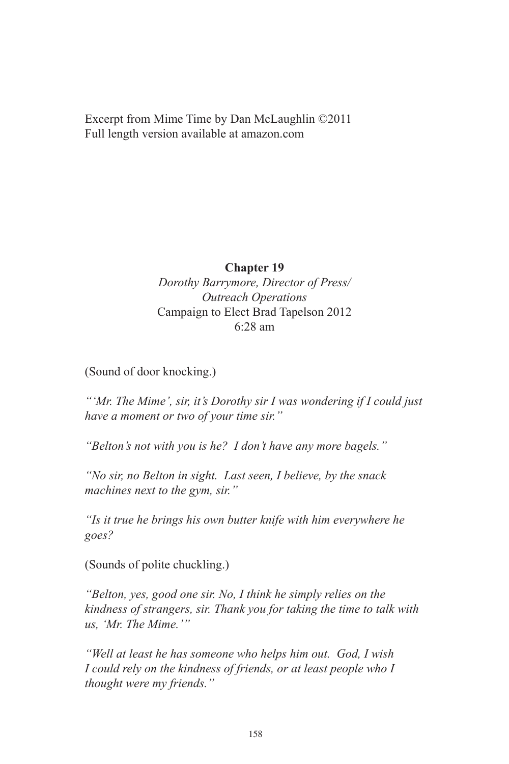Excerpt from Mime Time by Dan McLaughlin ©2011 Full length version available at amazon.com

## **Chapter 19**

*Dorothy Barrymore, Director of Press/ Outreach Operations* Campaign to Elect Brad Tapelson 2012 6:28 am

(Sound of door knocking.)

*"'Mr. The Mime', sir, it's Dorothy sir I was wondering if I could just have a moment or two of your time sir."*

*"Belton's not with you is he? I don't have any more bagels."*

*"No sir, no Belton in sight. Last seen, I believe, by the snack machines next to the gym, sir."*

*"Is it true he brings his own butter knife with him everywhere he goes?*

(Sounds of polite chuckling.)

*"Belton, yes, good one sir. No, I think he simply relies on the kindness of strangers, sir. Thank you for taking the time to talk with us, 'Mr. The Mime.'"*

*"Well at least he has someone who helps him out. God, I wish I could rely on the kindness of friends, or at least people who I thought were my friends."*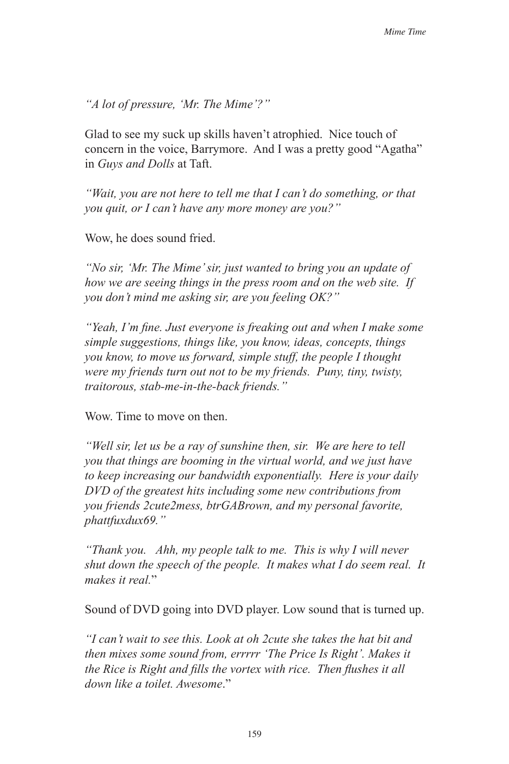*"A lot of pressure, 'Mr. The Mime'?"*

Glad to see my suck up skills haven't atrophied. Nice touch of concern in the voice, Barrymore. And I was a pretty good "Agatha" in *Guys and Dolls* at Taft.

*"Wait, you are not here to tell me that I can't do something, or that you quit, or I can't have any more money are you?"*

Wow, he does sound fried.

*"No sir, 'Mr. The Mime' sir, just wanted to bring you an update of how we are seeing things in the press room and on the web site. If you don't mind me asking sir, are you feeling OK?"*

*"Yeah, I'm fine. Just everyone is freaking out and when I make some simple suggestions, things like, you know, ideas, concepts, things you know, to move us forward, simple stuff, the people I thought were my friends turn out not to be my friends. Puny, tiny, twisty, traitorous, stab-me-in-the-back friends."*

Wow. Time to move on then.

*"Well sir, let us be a ray of sunshine then, sir. We are here to tell you that things are booming in the virtual world, and we just have to keep increasing our bandwidth exponentially. Here is your daily DVD of the greatest hits including some new contributions from you friends 2cute2mess, btrGABrown, and my personal favorite, phattfuxdux69."*

*"Thank you. Ahh, my people talk to me. This is why I will never shut down the speech of the people. It makes what I do seem real. It makes it real.*"

Sound of DVD going into DVD player. Low sound that is turned up.

*"I can't wait to see this. Look at oh 2cute she takes the hat bit and then mixes some sound from, errrrr 'The Price Is Right'. Makes it the Rice is Right and fills the vortex with rice. Then flushes it all down like a toilet. Awesome*."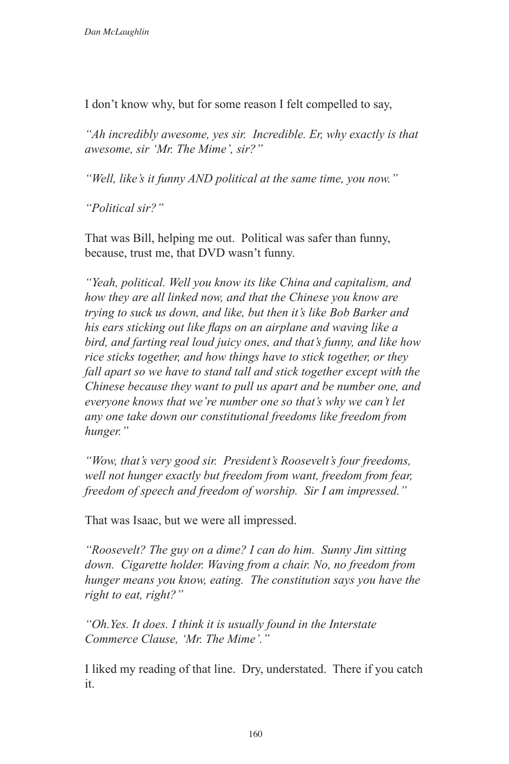I don't know why, but for some reason I felt compelled to say,

*"Ah incredibly awesome, yes sir. Incredible. Er, why exactly is that awesome, sir 'Mr. The Mime', sir?"*

*"Well, like's it funny AND political at the same time, you now."*

*"Political sir?"*

That was Bill, helping me out. Political was safer than funny, because, trust me, that DVD wasn't funny.

*"Yeah, political. Well you know its like China and capitalism, and how they are all linked now, and that the Chinese you know are trying to suck us down, and like, but then it's like Bob Barker and his ears sticking out like flaps on an airplane and waving like a bird, and farting real loud juicy ones, and that's funny, and like how rice sticks together, and how things have to stick together, or they fall apart so we have to stand tall and stick together except with the Chinese because they want to pull us apart and be number one, and everyone knows that we're number one so that's why we can't let any one take down our constitutional freedoms like freedom from hunger."*

*"Wow, that's very good sir. President's Roosevelt's four freedoms, well not hunger exactly but freedom from want, freedom from fear, freedom of speech and freedom of worship. Sir I am impressed."*

That was Isaac, but we were all impressed.

*"Roosevelt? The guy on a dime? I can do him. Sunny Jim sitting down. Cigarette holder. Waving from a chair. No, no freedom from hunger means you know, eating. The constitution says you have the right to eat, right?"*

*"Oh.Yes. It does. I think it is usually found in the Interstate Commerce Clause, 'Mr. The Mime'."*

I liked my reading of that line. Dry, understated. There if you catch it.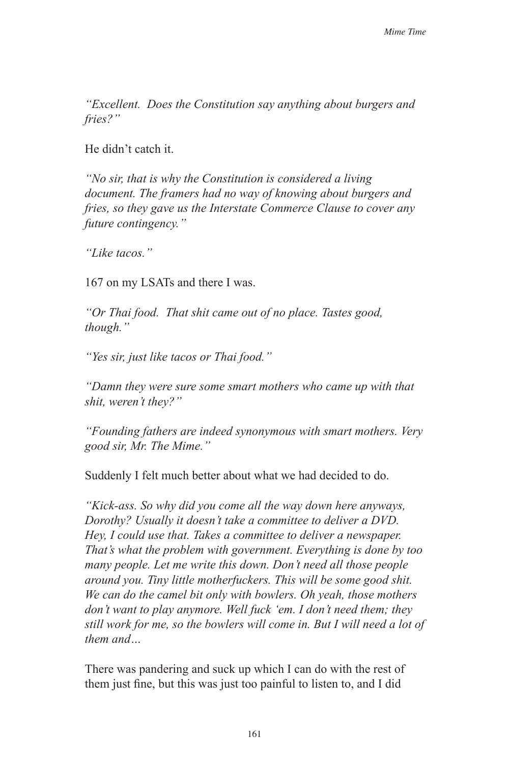*"Excellent. Does the Constitution say anything about burgers and fries?"*

He didn't catch it.

*"No sir, that is why the Constitution is considered a living document. The framers had no way of knowing about burgers and fries, so they gave us the Interstate Commerce Clause to cover any future contingency."*

*"Like tacos."*

167 on my LSATs and there I was.

*"Or Thai food. That shit came out of no place. Tastes good, though."*

*"Yes sir, just like tacos or Thai food."*

*"Damn they were sure some smart mothers who came up with that shit, weren't they?"*

*"Founding fathers are indeed synonymous with smart mothers. Very good sir, Mr. The Mime."*

Suddenly I felt much better about what we had decided to do.

*"Kick-ass. So why did you come all the way down here anyways, Dorothy? Usually it doesn't take a committee to deliver a DVD. Hey, I could use that. Takes a committee to deliver a newspaper. That's what the problem with government. Everything is done by too many people. Let me write this down. Don't need all those people around you. Tiny little motherfuckers. This will be some good shit. We can do the camel bit only with bowlers. Oh yeah, those mothers don't want to play anymore. Well fuck 'em. I don't need them; they still work for me, so the bowlers will come in. But I will need a lot of them and…* 

There was pandering and suck up which I can do with the rest of them just fine, but this was just too painful to listen to, and I did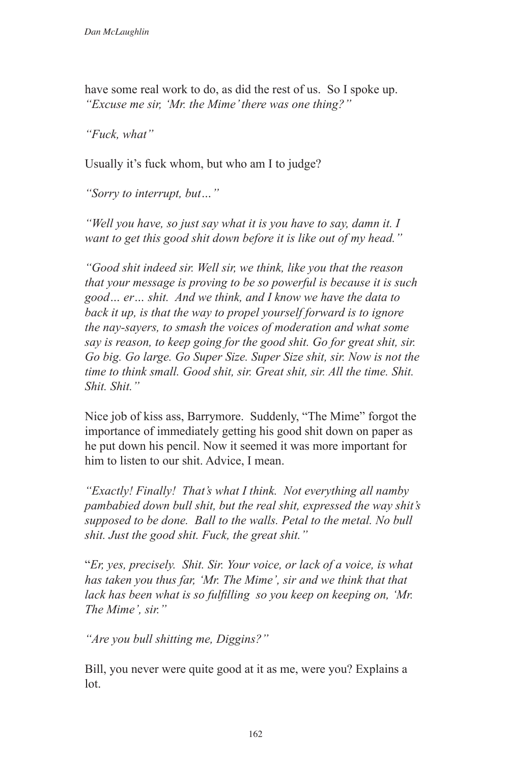have some real work to do, as did the rest of us. So I spoke up. *"Excuse me sir, 'Mr. the Mime' there was one thing?"*

*"Fuck, what"*

Usually it's fuck whom, but who am I to judge?

*"Sorry to interrupt, but…"*

*"Well you have, so just say what it is you have to say, damn it. I want to get this good shit down before it is like out of my head."*

*"Good shit indeed sir. Well sir, we think, like you that the reason that your message is proving to be so powerful is because it is such good… er… shit. And we think, and I know we have the data to back it up, is that the way to propel yourself forward is to ignore the nay-sayers, to smash the voices of moderation and what some*  say is reason, to keep going for the good shit. Go for great shit, sir. *Go big. Go large. Go Super Size. Super Size shit, sir. Now is not the time to think small. Good shit, sir. Great shit, sir. All the time. Shit. Shit. Shit."*

Nice job of kiss ass, Barrymore. Suddenly, "The Mime" forgot the importance of immediately getting his good shit down on paper as he put down his pencil. Now it seemed it was more important for him to listen to our shit. Advice, I mean.

*"Exactly! Finally! That's what I think. Not everything all namby pambabied down bull shit, but the real shit, expressed the way shit's supposed to be done. Ball to the walls. Petal to the metal. No bull shit. Just the good shit. Fuck, the great shit."*

"*Er, yes, precisely. Shit. Sir. Your voice, or lack of a voice, is what has taken you thus far, 'Mr. The Mime', sir and we think that that lack has been what is so fulfilling so you keep on keeping on, 'Mr. The Mime', sir."*

*"Are you bull shitting me, Diggins?"*

Bill, you never were quite good at it as me, were you? Explains a lot.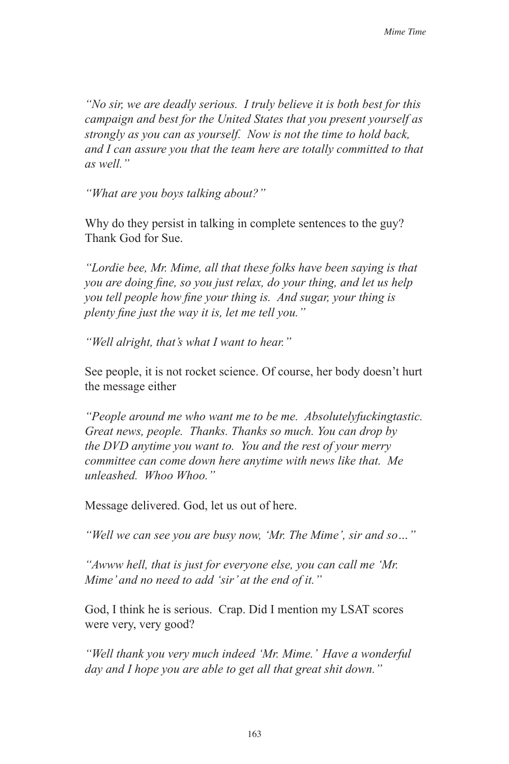*"No sir, we are deadly serious. I truly believe it is both best for this campaign and best for the United States that you present yourself as strongly as you can as yourself. Now is not the time to hold back, and I can assure you that the team here are totally committed to that as well."*

*"What are you boys talking about?"*

Why do they persist in talking in complete sentences to the guy? Thank God for Sue.

*"Lordie bee, Mr. Mime, all that these folks have been saying is that you are doing fine, so you just relax, do your thing, and let us help you tell people how fine your thing is. And sugar, your thing is plenty fine just the way it is, let me tell you."* 

*"Well alright, that's what I want to hear."*

See people, it is not rocket science. Of course, her body doesn't hurt the message either

*"People around me who want me to be me. Absolutelyfuckingtastic. Great news, people. Thanks. Thanks so much. You can drop by the DVD anytime you want to. You and the rest of your merry committee can come down here anytime with news like that. Me unleashed. Whoo Whoo."*

Message delivered. God, let us out of here.

*"Well we can see you are busy now, 'Mr. The Mime', sir and so…"*

*"Awww hell, that is just for everyone else, you can call me 'Mr. Mime' and no need to add 'sir' at the end of it."*

God, I think he is serious. Crap. Did I mention my LSAT scores were very, very good?

*"Well thank you very much indeed 'Mr. Mime.' Have a wonderful day and I hope you are able to get all that great shit down."*